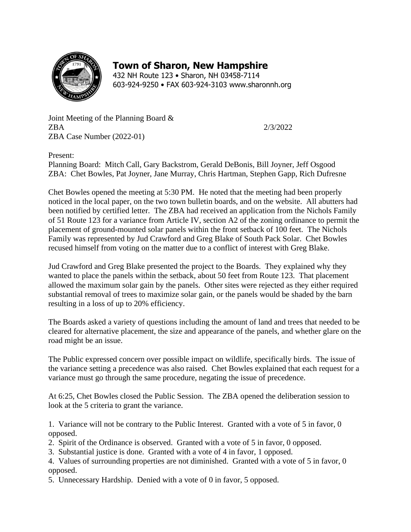

## **Town of Sharon, New Hampshire**

432 NH Route 123 • Sharon, NH 03458-7114 603-924-9250 • FAX 603-924-3103 www.sharonnh.org

Joint Meeting of the Planning Board & ZBA 2/3/2022 ZBA Case Number (2022-01)

Present:

Planning Board: Mitch Call, Gary Backstrom, Gerald DeBonis, Bill Joyner, Jeff Osgood ZBA: Chet Bowles, Pat Joyner, Jane Murray, Chris Hartman, Stephen Gapp, Rich Dufresne

Chet Bowles opened the meeting at 5:30 PM. He noted that the meeting had been properly noticed in the local paper, on the two town bulletin boards, and on the website. All abutters had been notified by certified letter. The ZBA had received an application from the Nichols Family of 51 Route 123 for a variance from Article IV, section A2 of the zoning ordinance to permit the placement of ground-mounted solar panels within the front setback of 100 feet. The Nichols Family was represented by Jud Crawford and Greg Blake of South Pack Solar. Chet Bowles recused himself from voting on the matter due to a conflict of interest with Greg Blake.

Jud Crawford and Greg Blake presented the project to the Boards. They explained why they wanted to place the panels within the setback, about 50 feet from Route 123. That placement allowed the maximum solar gain by the panels. Other sites were rejected as they either required substantial removal of trees to maximize solar gain, or the panels would be shaded by the barn resulting in a loss of up to 20% efficiency.

The Boards asked a variety of questions including the amount of land and trees that needed to be cleared for alternative placement, the size and appearance of the panels, and whether glare on the road might be an issue.

The Public expressed concern over possible impact on wildlife, specifically birds. The issue of the variance setting a precedence was also raised. Chet Bowles explained that each request for a variance must go through the same procedure, negating the issue of precedence.

At 6:25, Chet Bowles closed the Public Session. The ZBA opened the deliberation session to look at the 5 criteria to grant the variance.

1. Variance will not be contrary to the Public Interest. Granted with a vote of 5 in favor, 0 opposed.

- 2. Spirit of the Ordinance is observed. Granted with a vote of 5 in favor, 0 opposed.
- 3. Substantial justice is done. Granted with a vote of 4 in favor, 1 opposed.
- 4. Values of surrounding properties are not diminished. Granted with a vote of 5 in favor, 0 opposed.
- 5. Unnecessary Hardship. Denied with a vote of 0 in favor, 5 opposed.